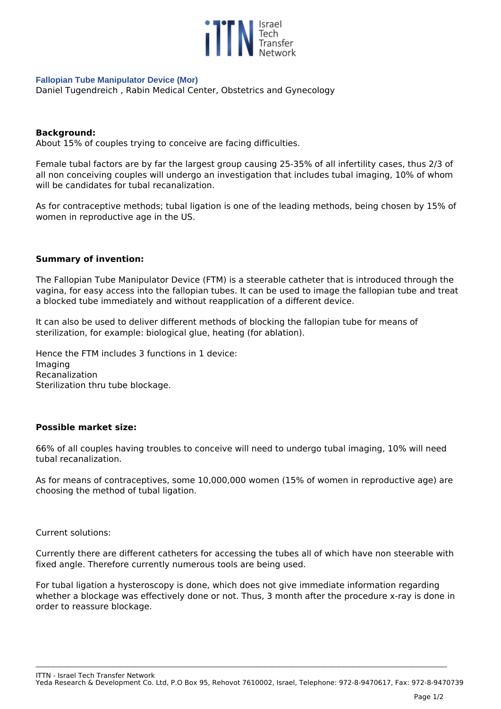

### **Fallopian Tube Manipulator Device (Mor)**

*Daniel Tugendreich , Rabin Medical Center, Obstetrics and Gynecology* 

## **Background:**

*About 15% of couples trying to conceive are facing difficulties.* 

*Female tubal factors are by far the largest group causing 25-35% of all infertility cases, thus 2/3 of all non conceiving couples will undergo an investigation that includes tubal imaging, 10% of whom will be candidates for tubal recanalization.* 

*As for contraceptive methods; tubal ligation is one of the leading methods, being chosen by 15% of women in reproductive age in the US.*

## **Summary of invention:**

*The Fallopian Tube Manipulator Device (FTM) is a steerable catheter that is introduced through the vagina, for easy access into the fallopian tubes. It can be used to image the fallopian tube and treat a blocked tube immediately and without reapplication of a different device.*

*It can also be used to deliver different methods of blocking the fallopian tube for means of sterilization, for example: biological glue, heating (for ablation).*

*Hence the FTM includes 3 functions in 1 device: Imaging Recanalization Sterilization thru tube blockage.*

## **Possible market size:**

*66% of all couples having troubles to conceive will need to undergo tubal imaging, 10% will need tubal recanalization.* 

*As for means of contraceptives, some 10,000,000 women (15% of women in reproductive age) are choosing the method of tubal ligation.*

*Current solutions:*

*Currently there are different catheters for accessing the tubes all of which have non steerable with fixed angle. Therefore currently numerous tools are being used.*

*For tubal ligation a hysteroscopy is done, which does not give immediate information regarding whether a blockage was effectively done or not. Thus, 3 month after the procedure x-ray is done in order to reassure blockage.*

*ITTN - Israel Tech Transfer Network*

*Yeda Research & Development Co. Ltd, P.O Box 95, Rehovot 7610002, Israel, Telephone: 972-8-9470617, Fax: 972-8-9470739*

**\_\_\_\_\_\_\_\_\_\_\_\_\_\_\_\_\_\_\_\_\_\_\_\_\_\_\_\_\_\_\_\_\_\_\_\_\_\_\_\_\_\_\_\_\_\_\_\_\_\_\_\_\_\_\_\_\_\_\_\_\_\_\_\_\_\_\_\_\_\_\_\_\_\_\_\_\_\_\_\_\_\_\_\_\_\_\_\_\_\_\_\_\_\_\_\_\_\_\_\_\_\_\_\_\_\_\_\_\_\_\_\_\_\_\_\_\_\_\_\_\_\_\_\_\_\_\_\_\_\_\_\_\_\_\_\_\_\_\_\_\_\_\_\_\_\_\_\_\_\_\_\_\_\_\_\_\_\_\_\_\_\_\_**